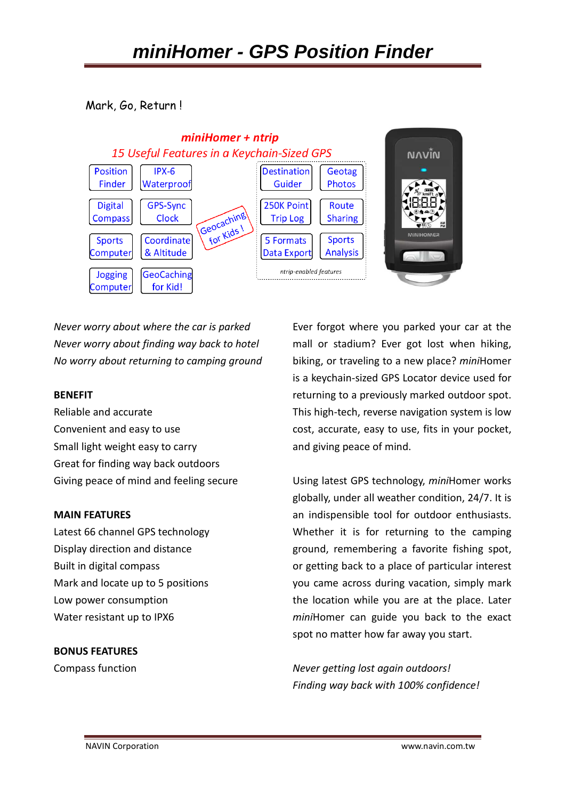Mark, Go, Return !



*Never worry about where the car is parked Never worry about finding way back to hotel No worry about returning to camping ground* 

## **BENEFIT**

Reliable and accurate Convenient and easy to use Small light weight easy to carry Great for finding way back outdoors Giving peace of mind and feeling secure

## **MAIN FEATURES**

Latest 66 channel GPS technology Display direction and distance Built in digital compass Mark and locate up to 5 positions Low power consumption Water resistant up to IPX6

## **BONUS FEATURES**

Compass function

Ever forgot where you parked your car at the mall or stadium? Ever got lost when hiking, biking, or traveling to a new place? *mini*Homer is a keychain-sized GPS Locator device used for returning to a previously marked outdoor spot. This high-tech, reverse navigation system is low cost, accurate, easy to use, fits in your pocket, and giving peace of mind.

Using latest GPS technology, *mini*Homer works globally, under all weather condition, 24/7. It is an indispensible tool for outdoor enthusiasts. Whether it is for returning to the camping ground, remembering a favorite fishing spot, or getting back to a place of particular interest you came across during vacation, simply mark the location while you are at the place. Later *mini*Homer can guide you back to the exact spot no matter how far away you start.

*Never getting lost again outdoors! Finding way back with 100% confidence!*